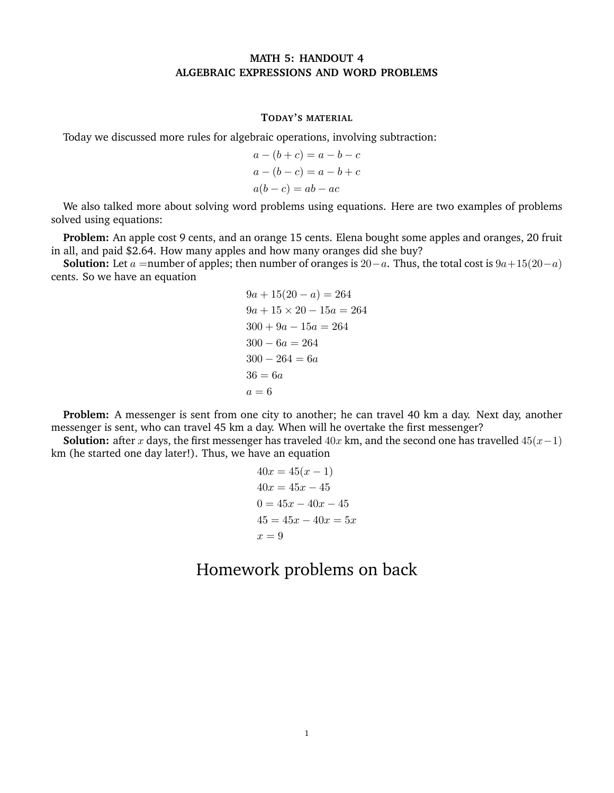## **MATH 5: HANDOUT 4 ALGEBRAIC EXPRESSIONS AND WORD PROBLEMS**

## **TODAY'S MATERIAL**

Today we discussed more rules for algebraic operations, involving subtraction:

$$
a - (b + c) = a - b - c
$$
  
\n
$$
a - (b - c) = a - b + c
$$
  
\n
$$
a(b - c) = ab - ac
$$

We also talked more about solving word problems using equations. Here are two examples of problems solved using equations:

**Problem:** An apple cost 9 cents, and an orange 15 cents. Elena bought some apples and oranges, 20 fruit in all, and paid \$2.64. How many apples and how many oranges did she buy?

**Solution:** Let *a* =number of apples; then number of oranges is  $20-a$ . Thus, the total cost is  $9a+15(20-a)$ cents. So we have an equation

$$
9a + 15(20 - a) = 264
$$
  
\n
$$
9a + 15 \times 20 - 15a = 264
$$
  
\n
$$
300 + 9a - 15a = 264
$$
  
\n
$$
300 - 6a = 264
$$
  
\n
$$
300 - 264 = 6a
$$
  
\n
$$
36 = 6a
$$
  
\n
$$
a = 6
$$

**Problem:** A messenger is sent from one city to another; he can travel 40 km a day. Next day, another messenger is sent, who can travel 45 km a day. When will he overtake the first messenger?

**Solution:** after *x* days, the first messenger has traveled 40*x* km, and the second one has travelled 45(*x*−1) km (he started one day later!). Thus, we have an equation

$$
40x = 45(x - 1)
$$
  
\n
$$
40x = 45x - 45
$$
  
\n
$$
0 = 45x - 40x - 45
$$
  
\n
$$
45 = 45x - 40x = 5x
$$
  
\n
$$
x = 9
$$

## Homework problems on back